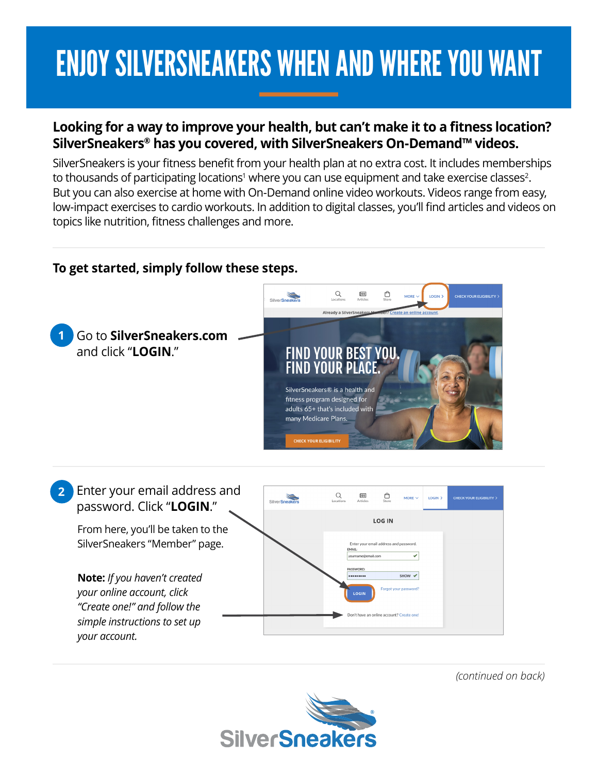## ENJOY SILVERSNEAKERS WHEN AND WHERE YOU WANT

## **Looking for a way to improve your health, but can't make it to a fitness location? SilverSneakers® has you covered, with SilverSneakers On-Demand™ videos.**

SilverSneakers is your fitness benefit from your health plan at no extra cost. It includes memberships to thousands of participating locations<sup>1</sup> where you can use equipment and take exercise classes<sup>2</sup>. But you can also exercise at home with On-Demand online video workouts. Videos range from easy, low-impact exercises to cardio workouts. In addition to digital classes, you'll find articles and videos on topics like nutrition, fitness challenges and more.

## **To get started, simply follow these steps.**



*(continued on back)*